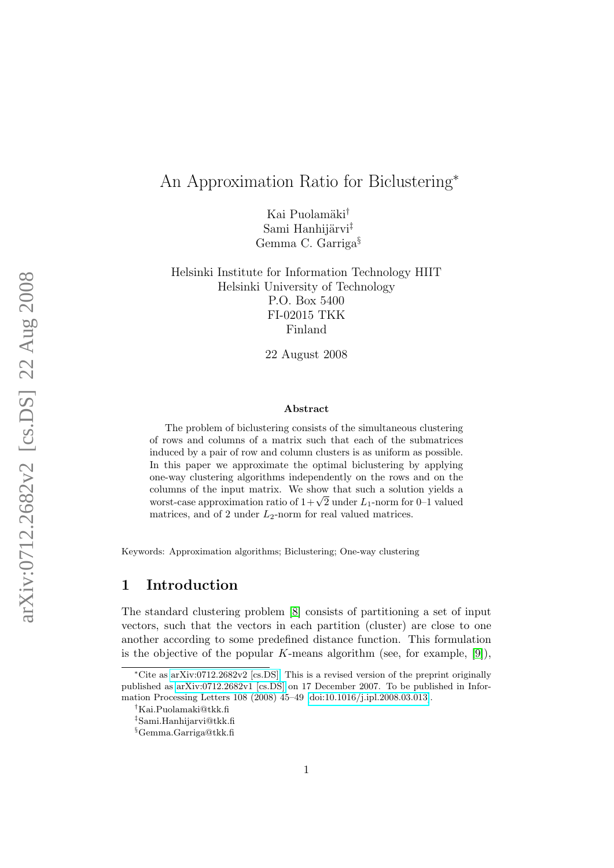# An Approximation Ratio for Biclustering<sup>∗</sup>

Kai Puolamäki<sup>†</sup> Sami Hanhijärvi<sup>‡</sup> Gemma C. Garriga§

Helsinki Institute for Information Technology HIIT Helsinki University of Technology P.O. Box 5400 FI-02015 TKK Finland

22 August 2008

#### Abstract

The problem of biclustering consists of the simultaneous clustering of rows and columns of a matrix such that each of the submatrices induced by a pair of row and column clusters is as uniform as possible. In this paper we approximate the optimal biclustering by applying one-way clustering algorithms independently on the rows and on the columns of the input matrix. We show that such a solution yields a columns of the input matrix. We show that such a solution yields a<br>worst-case approximation ratio of  $1 + \sqrt{2}$  under  $L_1$ -norm for 0–1 valued matrices, and of 2 under  $L_2$ -norm for real valued matrices.

Keywords: Approximation algorithms; Biclustering; One-way clustering

## 1 Introduction

The standard clustering problem [\[8\]](#page-8-0) consists of partitioning a set of input vectors, such that the vectors in each partition (cluster) are close to one another according to some predefined distance function. This formulation is the objective of the popular K-means algorithm (see, for example,  $[9]$ ),

<sup>∗</sup>Cite as [arXiv:0712.2682v2 \[cs.DS\].](http://arxiv.org/abs/0712.2682v2) This is a revised version of the preprint originally published as [arXiv:0712.2682v1 \[cs.DS\]](http://arxiv.org/abs/0712.2682v1) on 17 December 2007. To be published in Information Processing Letters 108 (2008) 45–49 [\[doi:10.1016/j.ipl.2008.03.013\]](http://dx.doi.org/10.1016/j.ipl.2008.03.013).

<sup>†</sup>Kai.Puolamaki@tkk.fi

<sup>‡</sup>Sami.Hanhijarvi@tkk.fi

<sup>§</sup>Gemma.Garriga@tkk.fi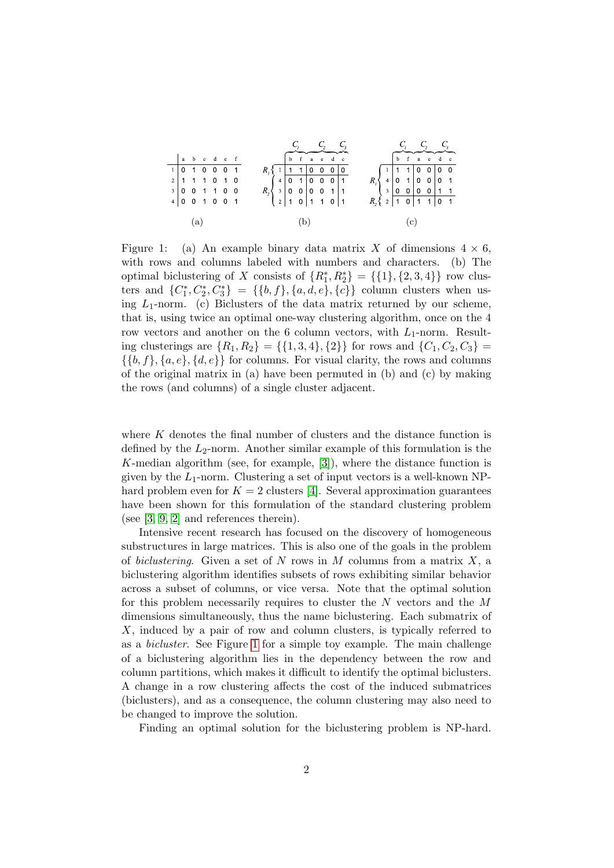|     |                                                                                   |  |  |  |  |                                                                                                                                          |  |  |  |  | $C_1$ $C_2$ $C_3$<br>$\overline{b}$ $\overline{c}$ $\overline{a}$ $\overline{e}$ $\overline{d}$ $\overline{c}$ |  |  |     |                                                                                                                                                                             |  |  |  |  |  |  | $\begin{array}{c cc}\nC_1 & C_2 & C_3 \\ \hline\n\end{array}$ |  |  |
|-----|-----------------------------------------------------------------------------------|--|--|--|--|------------------------------------------------------------------------------------------------------------------------------------------|--|--|--|--|----------------------------------------------------------------------------------------------------------------|--|--|-----|-----------------------------------------------------------------------------------------------------------------------------------------------------------------------------|--|--|--|--|--|--|---------------------------------------------------------------|--|--|
|     | $\begin{array}{ c c c c c c } \hline a & b & c & d & e & f \\ \hline \end{array}$ |  |  |  |  |                                                                                                                                          |  |  |  |  |                                                                                                                |  |  |     |                                                                                                                                                                             |  |  |  |  |  |  |                                                               |  |  |
|     | $1$ 0 1 0 0 0 1                                                                   |  |  |  |  | $R_1\begin{array}{ c cccc } \hline 1&1&1&0&0&0&0 \\ \hline 4&0&1&0&0&0&1 \\ \hline 3&0&0&0&0&1&1 \\ 2&1&0&1&1&0&1 \\ \hline \end{array}$ |  |  |  |  |                                                                                                                |  |  |     | $R_1 \left\{ \begin{array}{c cccc} 1 & 1 & 1 & 0 & 0 & 0 & 0 \\ 4 & 0 & 1 & 0 & 0 & 0 & 1 \\ 3 & 0 & 0 & 0 & 0 & 1 & 1 \\ 7 & 1 & 0 & 1 & 1 & 0 & 1 \\ \end{array} \right.$ |  |  |  |  |  |  |                                                               |  |  |
|     | $2$ 1 1 1 0 1 0                                                                   |  |  |  |  |                                                                                                                                          |  |  |  |  |                                                                                                                |  |  |     |                                                                                                                                                                             |  |  |  |  |  |  |                                                               |  |  |
|     | 3   0 0 1 1 0 0                                                                   |  |  |  |  |                                                                                                                                          |  |  |  |  |                                                                                                                |  |  |     |                                                                                                                                                                             |  |  |  |  |  |  |                                                               |  |  |
|     | $4$ 0 0 1 0 0 1                                                                   |  |  |  |  |                                                                                                                                          |  |  |  |  |                                                                                                                |  |  |     |                                                                                                                                                                             |  |  |  |  |  |  |                                                               |  |  |
|     |                                                                                   |  |  |  |  |                                                                                                                                          |  |  |  |  |                                                                                                                |  |  |     |                                                                                                                                                                             |  |  |  |  |  |  |                                                               |  |  |
| (a) |                                                                                   |  |  |  |  | (b)                                                                                                                                      |  |  |  |  |                                                                                                                |  |  | (c) |                                                                                                                                                                             |  |  |  |  |  |  |                                                               |  |  |

<span id="page-1-0"></span>Figure 1: (a) An example binary data matrix X of dimensions  $4 \times 6$ , with rows and columns labeled with numbers and characters. (b) The optimal biclustering of X consists of  $\{R_1^*, R_2^*\} = \{\{1\}, \{2, 3, 4\}\}\$ row clusters and  ${C_1^*, C_2^*, C_3^*} = {\{b, f\}, \{a, d, e\}, \{c\}}$  column clusters when using  $L_1$ -norm. (c) Biclusters of the data matrix returned by our scheme, that is, using twice an optimal one-way clustering algorithm, once on the 4 row vectors and another on the 6 column vectors, with  $L_1$ -norm. Resulting clusterings are  $\{R_1, R_2\} = \{\{1, 3, 4\}, \{2\}\}\$ for rows and  $\{C_1, C_2, C_3\} =$  $\{\{b, f\}, \{a, e\}, \{d, e\}\}\$ for columns. For visual clarity, the rows and columns of the original matrix in (a) have been permuted in (b) and (c) by making the rows (and columns) of a single cluster adjacent.

where  $K$  denotes the final number of clusters and the distance function is defined by the  $L_2$ -norm. Another similar example of this formulation is the K-median algorithm (see, for example, [\[3\]](#page-8-2)), where the distance function is given by the  $L_1$ -norm. Clustering a set of input vectors is a well-known NPhard problem even for  $K = 2$  clusters [\[4\]](#page-8-3). Several approximation guarantees have been shown for this formulation of the standard clustering problem (see [\[3,](#page-8-2) [9,](#page-8-1) [2\]](#page-7-0) and references therein).

Intensive recent research has focused on the discovery of homogeneous substructures in large matrices. This is also one of the goals in the problem of biclustering. Given a set of N rows in M columns from a matrix X, a biclustering algorithm identifies subsets of rows exhibiting similar behavior across a subset of columns, or vice versa. Note that the optimal solution for this problem necessarily requires to cluster the N vectors and the M dimensions simultaneously, thus the name biclustering. Each submatrix of X, induced by a pair of row and column clusters, is typically referred to as a bicluster. See Figure [1](#page-1-0) for a simple toy example. The main challenge of a biclustering algorithm lies in the dependency between the row and column partitions, which makes it difficult to identify the optimal biclusters. A change in a row clustering affects the cost of the induced submatrices (biclusters), and as a consequence, the column clustering may also need to be changed to improve the solution.

Finding an optimal solution for the biclustering problem is NP-hard.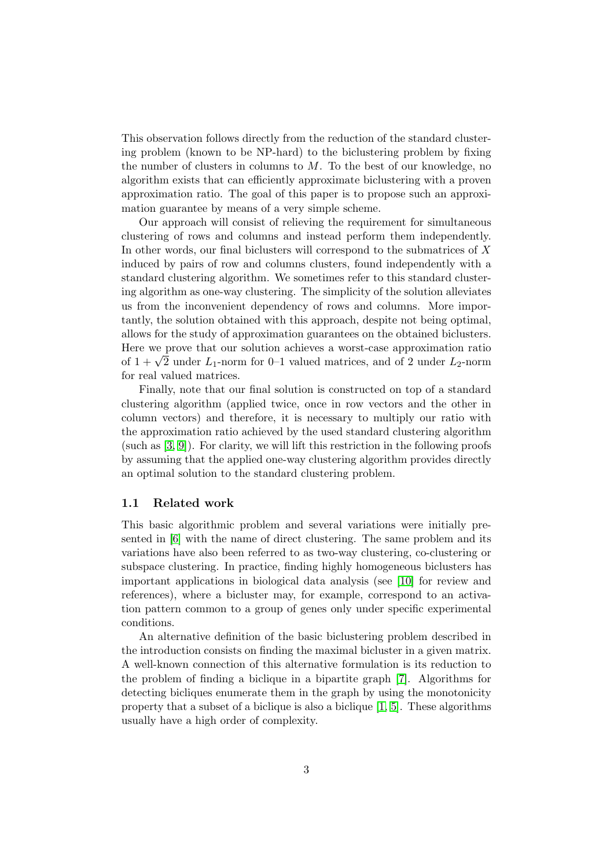This observation follows directly from the reduction of the standard clustering problem (known to be NP-hard) to the biclustering problem by fixing the number of clusters in columns to  $M$ . To the best of our knowledge, no algorithm exists that can efficiently approximate biclustering with a proven approximation ratio. The goal of this paper is to propose such an approximation guarantee by means of a very simple scheme.

Our approach will consist of relieving the requirement for simultaneous clustering of rows and columns and instead perform them independently. In other words, our final biclusters will correspond to the submatrices of X induced by pairs of row and columns clusters, found independently with a standard clustering algorithm. We sometimes refer to this standard clustering algorithm as one-way clustering. The simplicity of the solution alleviates us from the inconvenient dependency of rows and columns. More importantly, the solution obtained with this approach, despite not being optimal, allows for the study of approximation guarantees on the obtained biclusters. Here we prove that our solution achieves a worst-case approximation ratio Here we prove that our solution achieves a worst-case approximation ratio of  $1 + \sqrt{2}$  under  $L_1$ -norm for 0–1 valued matrices, and of 2 under  $L_2$ -norm for real valued matrices.

Finally, note that our final solution is constructed on top of a standard clustering algorithm (applied twice, once in row vectors and the other in column vectors) and therefore, it is necessary to multiply our ratio with the approximation ratio achieved by the used standard clustering algorithm (such as [\[3,](#page-8-2) [9\]](#page-8-1)). For clarity, we will lift this restriction in the following proofs by assuming that the applied one-way clustering algorithm provides directly an optimal solution to the standard clustering problem.

#### 1.1 Related work

This basic algorithmic problem and several variations were initially presented in [\[6\]](#page-8-4) with the name of direct clustering. The same problem and its variations have also been referred to as two-way clustering, co-clustering or subspace clustering. In practice, finding highly homogeneous biclusters has important applications in biological data analysis (see [\[10\]](#page-8-5) for review and references), where a bicluster may, for example, correspond to an activation pattern common to a group of genes only under specific experimental conditions.

An alternative definition of the basic biclustering problem described in the introduction consists on finding the maximal bicluster in a given matrix. A well-known connection of this alternative formulation is its reduction to the problem of finding a biclique in a bipartite graph [\[7\]](#page-8-6). Algorithms for detecting bicliques enumerate them in the graph by using the monotonicity property that a subset of a biclique is also a biclique [\[1,](#page-7-1) [5\]](#page-8-7). These algorithms usually have a high order of complexity.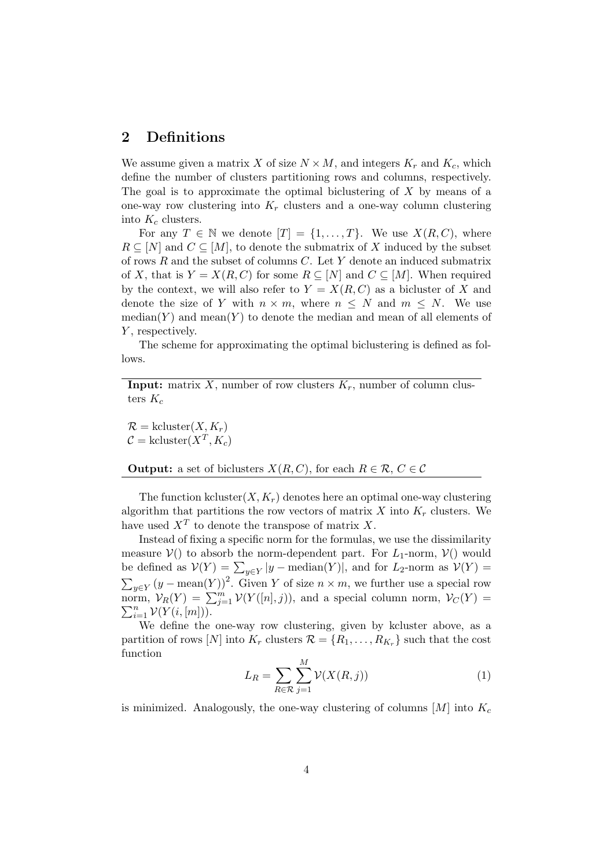## 2 Definitions

We assume given a matrix X of size  $N \times M$ , and integers  $K_r$  and  $K_c$ , which define the number of clusters partitioning rows and columns, respectively. The goal is to approximate the optimal biclustering of  $X$  by means of a one-way row clustering into  $K_r$  clusters and a one-way column clustering into  $K_c$  clusters.

For any  $T \in \mathbb{N}$  we denote  $[T] = \{1, ..., T\}$ . We use  $X(R, C)$ , where  $R \subseteq [N]$  and  $C \subseteq [M]$ , to denote the submatrix of X induced by the subset of rows  $R$  and the subset of columns  $C$ . Let  $Y$  denote an induced submatrix of X, that is  $Y = X(R, C)$  for some  $R \subseteq [N]$  and  $C \subseteq [M]$ . When required by the context, we will also refer to  $Y = X(R, C)$  as a bicluster of X and denote the size of Y with  $n \times m$ , where  $n \leq N$  and  $m \leq N$ . We use  $median(Y)$  and  $mean(Y)$  to denote the median and mean of all elements of  $Y$ , respectively.

The scheme for approximating the optimal biclustering is defined as follows.

**Input:** matrix X, number of row clusters  $K_r$ , number of column clusters  $K_c$ 

 $\mathcal{R} = \text{kcluster}(X, K_r)$  $\mathcal{C} = \text{kcluster}(X^T, K_c)$ 

**Output:** a set of biclusters  $X(R, C)$ , for each  $R \in \mathcal{R}$ ,  $C \in \mathcal{C}$ 

The function kcluster $(X, K_r)$  denotes here an optimal one-way clustering algorithm that partitions the row vectors of matrix  $X$  into  $K_r$  clusters. We have used  $X^T$  to denote the transpose of matrix X.

Instead of fixing a specific norm for the formulas, we use the dissimilarity measure  $V()$  to absorb the norm-dependent part. For  $L_1$ -norm,  $V()$  would be defined as  $V(Y) = \sum_{y \in Y} |y - \text{median}(Y)|$ , and for  $L_2$ -norm as  $V(Y) =$  $\sum_{y \in Y} (y - \text{mean}(Y))^2$ . Given Y of size  $n \times m$ , we further use a special row norm,  $\mathcal{V}_R(Y) = \sum_{j=1}^m \mathcal{V}(Y([n], j))$ , and a special column norm,  $\mathcal{V}_C(Y) =$  $\sum_{i=1}^n \mathcal{V}(Y(i,[m]))$ .

We define the one-way row clustering, given by kcluster above, as a partition of rows [N] into  $K_r$  clusters  $\mathcal{R} = \{R_1, \ldots, R_{K_r}\}\$  such that the cost function

<span id="page-3-0"></span>
$$
L_R = \sum_{R \in \mathcal{R}} \sum_{j=1}^{M} \mathcal{V}(X(R, j))
$$
\n(1)

is minimized. Analogously, the one-way clustering of columns  $[M]$  into  $K_c$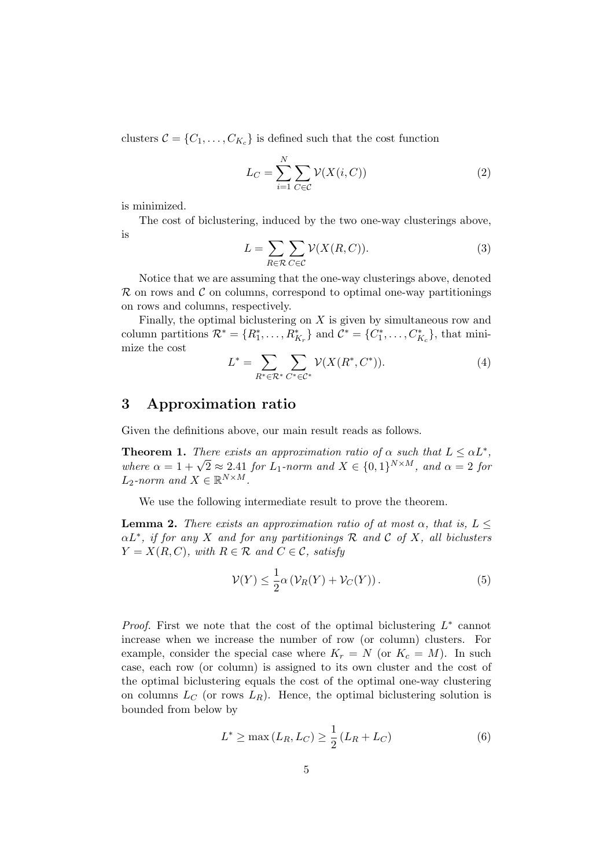clusters  $C = \{C_1, \ldots, C_{K_c}\}\$ is defined such that the cost function

<span id="page-4-1"></span>
$$
L_C = \sum_{i=1}^{N} \sum_{C \in \mathcal{C}} \mathcal{V}(X(i, C))
$$
\n(2)

is minimized.

The cost of biclustering, induced by the two one-way clusterings above, is

<span id="page-4-2"></span>
$$
L = \sum_{R \in \mathcal{R}} \sum_{C \in \mathcal{C}} \mathcal{V}(X(R, C)).
$$
 (3)

Notice that we are assuming that the one-way clusterings above, denoted  $\mathcal R$  on rows and  $\mathcal C$  on columns, correspond to optimal one-way partitionings on rows and columns, respectively.

Finally, the optimal biclustering on  $X$  is given by simultaneous row and column partitions  $\mathcal{R}^* = \{R_1^*, \ldots, R_{K_r}^*\}$  and  $\mathcal{C}^* = \{C_1^*, \ldots, C_{K_c}^*\}$ , that minimize the cost

$$
L^* = \sum_{R^* \in \mathcal{R}^*} \sum_{C^* \in \mathcal{C}^*} \mathcal{V}(X(R^*, C^*)).
$$
\n(4)

## 3 Approximation ratio

Given the definitions above, our main result reads as follows.

<span id="page-4-4"></span>**Theorem 1.** There exists an approximation ratio of  $\alpha$  such that  $L \leq \alpha L^*$ , **Theorem 1.** There exists an approximation ratio of  $\alpha$  such that  $L \leq \alpha L$ ,<br>where  $\alpha = 1 + \sqrt{2} \approx 2.41$  for  $L_1$ -norm and  $X \in \{0,1\}^{N \times M}$ , and  $\alpha = 2$  for  $L_2$ -norm and  $X \in \mathbb{R}^{N \times M}$ .

We use the following intermediate result to prove the theorem.

**Lemma 2.** There exists an approximation ratio of at most  $\alpha$ , that is,  $L \leq$  $\alpha L^*$ , if for any X and for any partitionings R and C of X, all biclusters  $Y = X(R, C)$ , with  $R \in \mathcal{R}$  and  $C \in \mathcal{C}$ , satisfy

<span id="page-4-0"></span>
$$
\mathcal{V}(Y) \le \frac{1}{2}\alpha \left(\mathcal{V}_R(Y) + \mathcal{V}_C(Y)\right). \tag{5}
$$

*Proof.* First we note that the cost of the optimal biclustering  $L^*$  cannot increase when we increase the number of row (or column) clusters. For example, consider the special case where  $K_r = N$  (or  $K_c = M$ ). In such case, each row (or column) is assigned to its own cluster and the cost of the optimal biclustering equals the cost of the optimal one-way clustering on columns  $L_C$  (or rows  $L_R$ ). Hence, the optimal biclustering solution is bounded from below by

<span id="page-4-3"></span>
$$
L^* \ge \max(L_R, L_C) \ge \frac{1}{2} (L_R + L_C)
$$
 (6)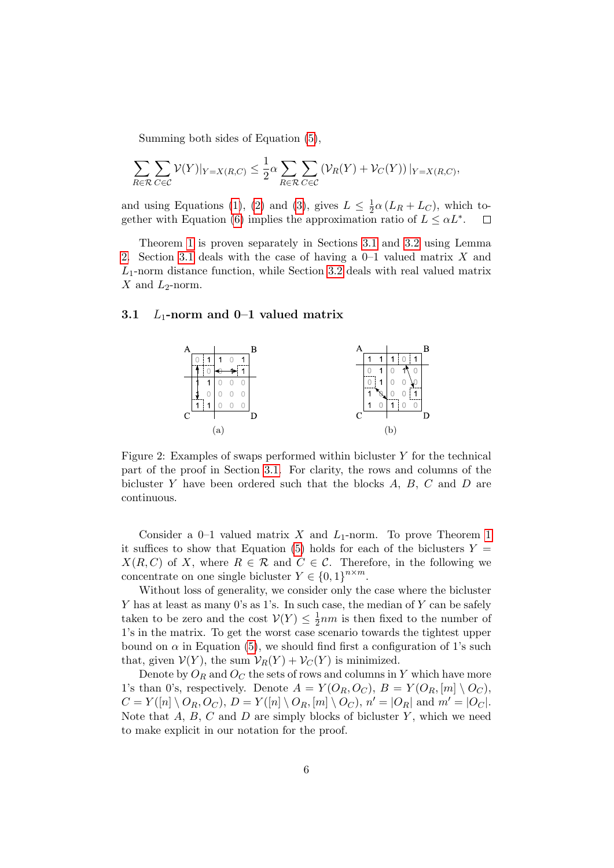Summing both sides of Equation [\(5\)](#page-4-0),

$$
\sum_{R \in \mathcal{R}} \sum_{C \in \mathcal{C}} \mathcal{V}(Y)|_{Y=X(R,C)} \leq \frac{1}{2} \alpha \sum_{R \in \mathcal{R}} \sum_{C \in \mathcal{C}} \left( \mathcal{V}_R(Y) + \mathcal{V}_C(Y) \right)|_{Y=X(R,C)},
$$

and using Equations [\(1\)](#page-3-0), [\(2\)](#page-4-1) and [\(3\)](#page-4-2), gives  $L \leq \frac{1}{2}$  $\frac{1}{2}\alpha (L_R + L_C)$ , which to-gether with Equation [\(6\)](#page-4-3) implies the approximation ratio of  $L \leq \alpha L^*$ .

Theorem [1](#page-4-4) is proven separately in Sections [3.1](#page-5-0) and [3.2](#page-7-2) using Lemma [2.](#page-4-0) Section [3.1](#page-5-0) deals with the case of having a 0–1 valued matrix X and  $L_1$ -norm distance function, while Section [3.2](#page-7-2) deals with real valued matrix X and  $L_2$ -norm.

#### <span id="page-5-0"></span>3.1  $L_1$ -norm and 0-1 valued matrix



<span id="page-5-1"></span>Figure 2: Examples of swaps performed within bicluster  $Y$  for the technical part of the proof in Section [3.1.](#page-5-0) For clarity, the rows and columns of the bicluster  $Y$  have been ordered such that the blocks  $A, B, C$  and  $D$  are continuous.

Consider a  $0-1$  valued matrix X and  $L_1$ -norm. To prove Theorem [1](#page-4-4) it suffices to show that Equation [\(5\)](#page-4-0) holds for each of the biclusters  $Y =$  $X(R, C)$  of X, where  $R \in \mathcal{R}$  and  $C \in \mathcal{C}$ . Therefore, in the following we concentrate on one single bicluster  $Y \in \{0,1\}^{n \times m}$ .

Without loss of generality, we consider only the case where the bicluster Y has at least as many 0's as 1's. In such case, the median of Y can be safely taken to be zero and the cost  $\mathcal{V}(Y) \leq \frac{1}{2}$  $\frac{1}{2}$ *nm* is then fixed to the number of 1's in the matrix. To get the worst case scenario towards the tightest upper bound on  $\alpha$  in Equation [\(5\)](#page-4-0), we should find first a configuration of 1's such that, given  $\mathcal{V}(Y)$ , the sum  $\mathcal{V}_R(Y) + \mathcal{V}_C(Y)$  is minimized.

Denote by  $O_R$  and  $O_C$  the sets of rows and columns in Y which have more 1's than 0's, respectively. Denote  $A = Y(O_R, O_C), B = Y(O_R, [m] \setminus O_C)$ ,  $C = Y([n] \setminus O_R, O_C), D = Y([n] \setminus O_R, [m] \setminus O_C), n' = |O_R|$  and  $m' = |O_C|$ . Note that  $A, B, C$  and  $D$  are simply blocks of bicluster Y, which we need to make explicit in our notation for the proof.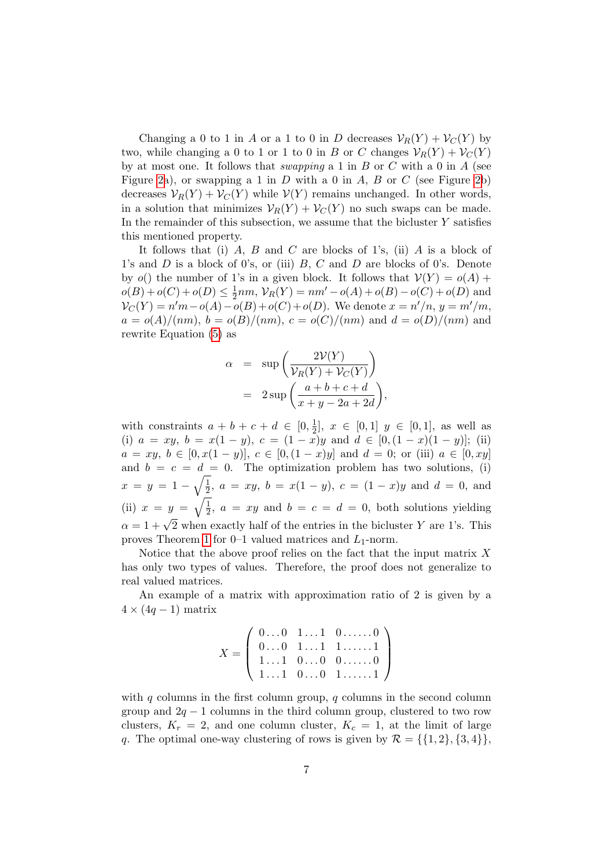Changing a 0 to 1 in A or a 1 to 0 in D decreases  $\mathcal{V}_R(Y) + \mathcal{V}_C(Y)$  by two, while changing a 0 to 1 or 1 to 0 in B or C changes  $\mathcal{V}_R(Y) + \mathcal{V}_C(Y)$ by at most one. It follows that *swapping* a 1 in B or C with a 0 in A (see Figure [2a](#page-5-1)), or swapping a 1 in D with a 0 in A, B or C (see Figure [2b](#page-5-1)) decreases  $\mathcal{V}_R(Y) + \mathcal{V}_C(Y)$  while  $\mathcal{V}(Y)$  remains unchanged. In other words, in a solution that minimizes  $\mathcal{V}_R(Y) + \mathcal{V}_C(Y)$  no such swaps can be made. In the remainder of this subsection, we assume that the bicluster  $Y$  satisfies this mentioned property.

It follows that (i) A, B and C are blocks of 1's, (ii) A is a block of 1's and  $D$  is a block of 0's, or (iii)  $B, C$  and  $D$  are blocks of 0's. Denote by  $o()$  the number of 1's in a given block. It follows that  $V(Y) = o(A)$  +  $o(B) + o(C) + o(D) \leq \frac{1}{2}$  $\frac{1}{2}nm$ ,  $V_R(Y) = nm' - o(A) + o(B) - o(C) + o(D)$  and  $V_C(Y) = n'm - o(A) - o(B) + o(C) + o(D)$ . We denote  $x = n'/n$ ,  $y = m'/m$ ,  $a = o(A)/(nm)$ ,  $b = o(B)/(nm)$ ,  $c = o(C)/(nm)$  and  $d = o(D)/(nm)$  and rewrite Equation [\(5\)](#page-4-0) as

$$
\alpha = \sup \left( \frac{2\mathcal{V}(Y)}{\mathcal{V}_R(Y) + \mathcal{V}_C(Y)} \right)
$$
  
= 
$$
2 \sup \left( \frac{a+b+c+d}{x+y-2a+2d} \right),
$$

with constraints  $a + b + c + d \in [0, \frac{1}{2}]$  $\frac{1}{2}$ ,  $x \in [0,1]$   $y \in [0,1]$ , as well as (i)  $a = xy$ ,  $b = x(1 - y)$ ,  $c = (1 - x)y$  and  $d \in [0, (1 - x)(1 - y)]$ ; (ii)  $a = xy, b \in [0, x(1-y)], c \in [0, (1-x)y] \text{ and } d = 0; \text{ or (iii) } a \in [0, xy]$ and  $b = c = d = 0$ . The optimization problem has two solutions, (i)  $x = y = 1 - \sqrt{\frac{1}{2}}$  $\frac{1}{2}$ ,  $a = xy$ ,  $b = x(1 - y)$ ,  $c = (1 - x)y$  and  $d = 0$ , and (ii)  $x = y = \sqrt{\frac{1}{2}}$  $\frac{1}{2}$ ,  $a = xy$  and  $b = c = d = 0$ , both solutions yielding  $\alpha = 1 + \sqrt{2}$  when exactly half of the entries in the bicluster Y are 1's. This proves Theorem [1](#page-4-4) for  $0-1$  valued matrices and  $L_1$ -norm.

Notice that the above proof relies on the fact that the input matrix  $X$ has only two types of values. Therefore, the proof does not generalize to real valued matrices.

An example of a matrix with approximation ratio of 2 is given by a  $4 \times (4q - 1)$  matrix

$$
X = \left( \begin{array}{cccc} 0 \dots 0 & 1 \dots 1 & 0 \dots \dots 0 \\ 0 \dots 0 & 1 \dots 1 & 1 \dots \dots 1 \\ 1 \dots 1 & 0 \dots 0 & 0 \dots \dots 0 \\ 1 \dots 1 & 0 \dots 0 & 1 \dots \dots 1 \end{array} \right)
$$

with q columns in the first column group, q columns in the second column group and  $2q - 1$  columns in the third column group, clustered to two row clusters,  $K_r = 2$ , and one column cluster,  $K_c = 1$ , at the limit of large q. The optimal one-way clustering of rows is given by  $\mathcal{R} = \{ \{1, 2\}, \{3, 4\} \},\$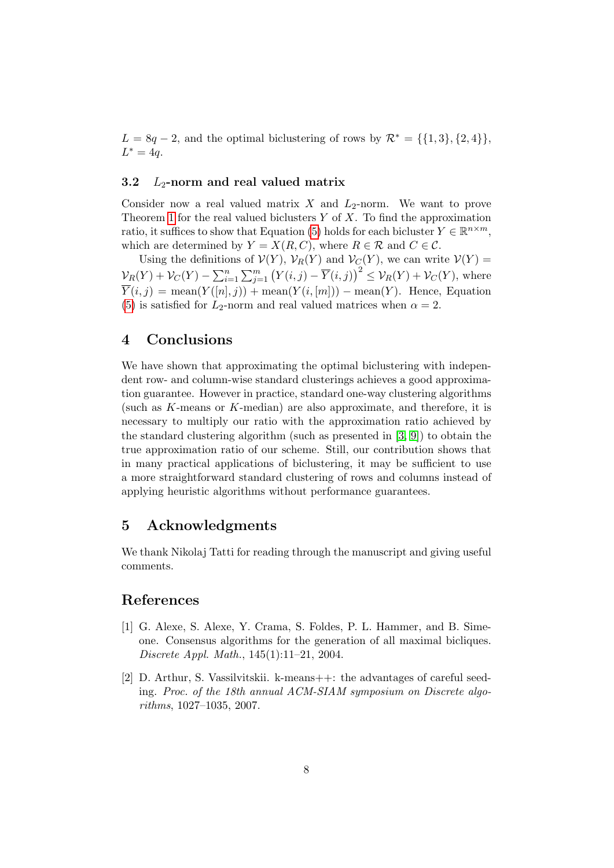$L = 8q - 2$ , and the optimal biclustering of rows by  $\mathcal{R}^* = \{\{1,3\},\{2,4\}\}\$  $L^* = 4q.$ 

#### <span id="page-7-2"></span>3.2  $L_2$ -norm and real valued matrix

Consider now a real valued matrix X and  $L_2$ -norm. We want to prove Theorem [1](#page-4-4) for the real valued biclusters  $Y$  of  $X$ . To find the approximation ratio, it suffices to show that Equation [\(5\)](#page-4-0) holds for each bicluster  $Y \in \mathbb{R}^{n \times m}$ , which are determined by  $Y = X(R, C)$ , where  $R \in \mathcal{R}$  and  $C \in \mathcal{C}$ .

Using the definitions of  $\mathcal{V}(Y)$ ,  $\mathcal{V}_R(Y)$  and  $\mathcal{V}_C(Y)$ , we can write  $\mathcal{V}(Y) =$  $\mathcal{V}_R(Y) + \mathcal{V}_C(Y) - \sum_{i=1}^n \sum_{j=1}^m (Y(i,j) - \overline{Y}(i,j))^2 \leq \mathcal{V}_R(Y) + \mathcal{V}_C(Y)$ , where  $\overline{Y}(i, j) = \text{mean}(Y([n], j)) + \text{mean}(Y(i, [m])) - \text{mean}(Y)$ . Hence, Equation [\(5\)](#page-4-0) is satisfied for  $L_2$ -norm and real valued matrices when  $\alpha = 2$ .

## 4 Conclusions

We have shown that approximating the optimal biclustering with independent row- and column-wise standard clusterings achieves a good approximation guarantee. However in practice, standard one-way clustering algorithms (such as K-means or K-median) are also approximate, and therefore, it is necessary to multiply our ratio with the approximation ratio achieved by the standard clustering algorithm (such as presented in  $[3, 9]$  $[3, 9]$ ) to obtain the true approximation ratio of our scheme. Still, our contribution shows that in many practical applications of biclustering, it may be sufficient to use a more straightforward standard clustering of rows and columns instead of applying heuristic algorithms without performance guarantees.

### 5 Acknowledgments

We thank Nikolaj Tatti for reading through the manuscript and giving useful comments.

## References

- <span id="page-7-1"></span>[1] G. Alexe, S. Alexe, Y. Crama, S. Foldes, P. L. Hammer, and B. Simeone. Consensus algorithms for the generation of all maximal bicliques. Discrete Appl. Math., 145(1):11–21, 2004.
- <span id="page-7-0"></span>[2] D. Arthur, S. Vassilvitskii. k-means++: the advantages of careful seeding. Proc. of the 18th annual ACM-SIAM symposium on Discrete algorithms, 1027–1035, 2007.